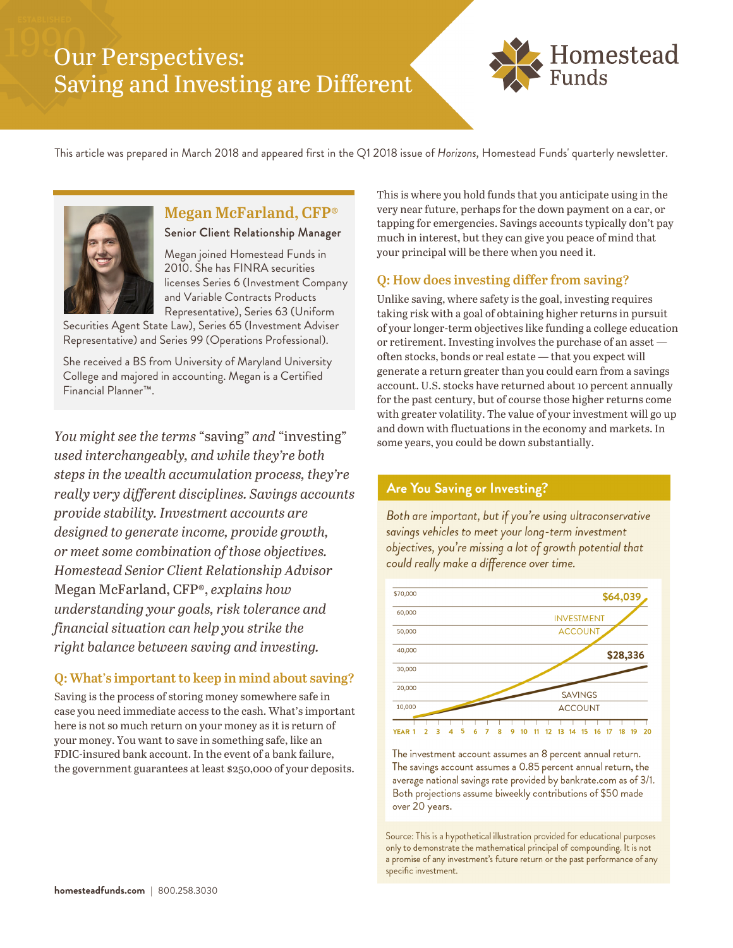# Our Perspectives: Saving and Investing are Different





## **Megan McFarland, CFP®**

Senior Client Relationship Advisor

Megan joined Homestead Funds in 2010. She has FINRA securities licenses Series 6 (Investment Company and Variable Contracts Products Representative), Series 63 (Uniform

Securities Agent State Law), Series 65 (Investment Adviser Representative) and Series 99 (Operations Professional).

She received a BS from University of Maryland University College and majored in accounting. Megan is a Certified Financial Planner™.

*You might see the terms* "saving" *and* "investing" *used interchangeably, and while they're both steps in the wealth accumulation process, they're really very different disciplines. Savings accounts provide stability. Investment accounts are designed to generate income, provide growth, or meet some combination of those objectives. Homestead Senior Client Relationship Advisor*  Megan McFarland, CFP®, *explains how understanding your goals, risk tolerance and financial situation can help you strike the right balance between saving and investing.* 

### **Q: What's important to keep in mind about saving?**

Saving is the process of storing money somewhere safe in case you need immediate access to the cash. What's important here is not so much return on your money as it is return of your money. You want to save in something safe, like an FDIC-insured bank account. In the event of a bank failure, the government guarantees at least \$250,000 of your deposits.

This is where you hold funds that you anticipate using in the very near future, perhaps for the down payment on a car, or tapping for emergencies. Savings accounts typically don't pay much in interest, but they can give you peace of mind that your principal will be there when you need it.

### **Q: How does investing differ from saving?**

Unlike saving, where safety is the goal, investing requires taking risk with a goal of obtaining higher returns in pursuit of your longer-term objectives like funding a college education or retirement. Investing involves the purchase of an asset often stocks, bonds or real estate — that you expect will generate a return greater than you could earn from a savings account. U.S. stocks have returned about 10 percent annually for the past century, but of course those higher returns come with greater volatility. The value of your investment will go up and down with fluctuations in the economy and markets. In some years, you could be down substantially.